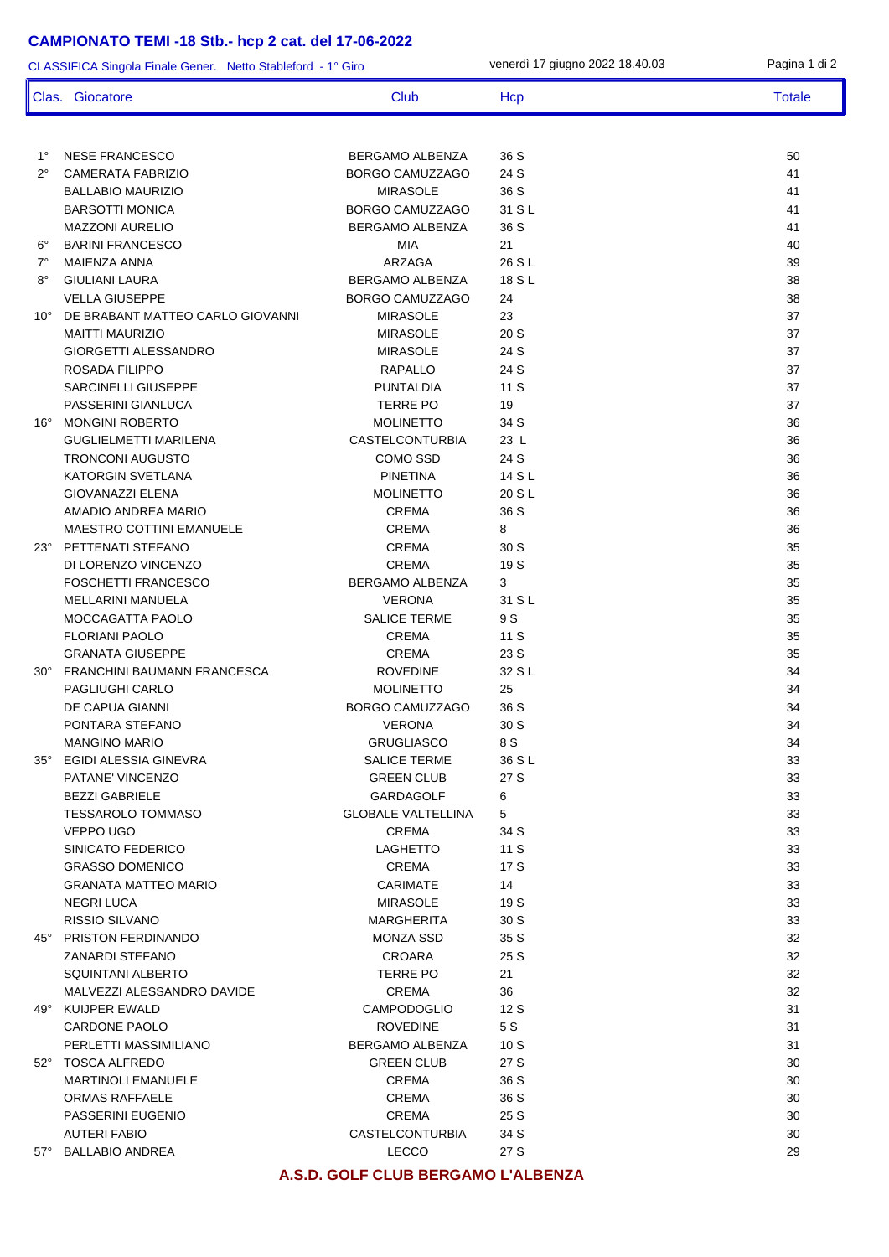## **CAMPIONATO TEMI -18 Stb.- hcp 2 cat. del 17-06-2022**

ľ  $\mathsf{l}$ 

| CLASSIFICA Singola Finale Gener. Netto Stableford - 1° Giro |                                                |                                    | venerdì 17 giugno 2022 18.40.03 | Pagina 1 di 2 |
|-------------------------------------------------------------|------------------------------------------------|------------------------------------|---------------------------------|---------------|
|                                                             | Clas. Giocatore                                | Club                               | Hcp                             | <b>Totale</b> |
|                                                             |                                                |                                    |                                 |               |
| $1^{\circ}$                                                 | <b>NESE FRANCESCO</b>                          | BERGAMO ALBENZA                    | 36 S                            | 50            |
| $2^{\circ}$                                                 | <b>CAMERATA FABRIZIO</b>                       | BORGO CAMUZZAGO                    | 24 S                            | 41            |
|                                                             | <b>BALLABIO MAURIZIO</b>                       | <b>MIRASOLE</b>                    | 36 S                            | 41            |
|                                                             | <b>BARSOTTI MONICA</b>                         | BORGO CAMUZZAGO                    | 31 S L                          | 41            |
|                                                             | <b>MAZZONI AURELIO</b>                         | BERGAMO ALBENZA                    | 36 S                            | 41            |
| $6^{\circ}$                                                 | <b>BARINI FRANCESCO</b>                        | MIA                                | 21                              | 40            |
| 7°                                                          | MAIENZA ANNA                                   | ARZAGA                             | 26 S L                          | 39            |
| $8^{\circ}$<br>$10^{\circ}$                                 | <b>GIULIANI LAURA</b><br><b>VELLA GIUSEPPE</b> | BERGAMO ALBENZA<br>BORGO CAMUZZAGO | 18 S L<br>24                    | 38<br>38      |
|                                                             | DE BRABANT MATTEO CARLO GIOVANNI               | <b>MIRASOLE</b>                    | 23                              | 37            |
|                                                             | <b>MAITTI MAURIZIO</b>                         | <b>MIRASOLE</b>                    | 20S                             | 37            |
|                                                             | <b>GIORGETTI ALESSANDRO</b>                    | <b>MIRASOLE</b>                    | 24 S                            | 37            |
|                                                             | <b>ROSADA FILIPPO</b>                          | <b>RAPALLO</b>                     | 24 S                            | 37            |
|                                                             | <b>SARCINELLI GIUSEPPE</b>                     | <b>PUNTALDIA</b>                   | 11S                             | 37            |
|                                                             | PASSERINI GIANLUCA                             | <b>TERRE PO</b>                    | 19                              | 37            |
| $16^{\circ}$                                                | <b>MONGINI ROBERTO</b>                         | <b>MOLINETTO</b>                   | 34 S                            | 36            |
|                                                             | <b>GUGLIELMETTI MARILENA</b>                   | <b>CASTELCONTURBIA</b>             | 23 L                            | 36            |
|                                                             | <b>TRONCONI AUGUSTO</b>                        | COMO SSD                           | 24 S                            | 36            |
|                                                             | <b>KATORGIN SVETLANA</b>                       | <b>PINETINA</b>                    | 14 S L                          | 36            |
|                                                             | <b>GIOVANAZZI ELENA</b>                        | <b>MOLINETTO</b>                   | 20 S L                          | 36            |
|                                                             | AMADIO ANDREA MARIO                            | <b>CREMA</b>                       | 36 S                            | 36            |
|                                                             | MAESTRO COTTINI EMANUELE                       | <b>CREMA</b>                       | 8                               | 36            |
|                                                             | 23° PETTENATI STEFANO                          | <b>CREMA</b>                       | 30 S                            | 35            |
|                                                             | DI LORENZO VINCENZO                            | <b>CREMA</b>                       | 19 S                            | 35            |
|                                                             | FOSCHETTI FRANCESCO                            | BERGAMO ALBENZA                    | 3                               | 35            |
|                                                             | MELLARINI MANUELA                              | <b>VERONA</b>                      | 31 S L                          | 35            |
|                                                             | MOCCAGATTA PAOLO<br><b>FLORIANI PAOLO</b>      | SALICE TERME<br><b>CREMA</b>       | 9 S<br>11 S                     | 35<br>35      |
|                                                             | <b>GRANATA GIUSEPPE</b>                        | <b>CREMA</b>                       | 23 S                            | 35            |
| $30^{\circ}$                                                | FRANCHINI BAUMANN FRANCESCA                    | <b>ROVEDINE</b>                    | 32 S L                          | 34            |
|                                                             | PAGLIUGHI CARLO                                | <b>MOLINETTO</b>                   | 25                              | 34            |
|                                                             | DE CAPUA GIANNI                                | BORGO CAMUZZAGO                    | 36 S                            | 34            |
|                                                             | PONTARA STEFANO                                | <b>VERONA</b>                      | 30 S                            | 34            |
|                                                             | <b>MANGINO MARIO</b>                           | <b>GRUGLIASCO</b>                  | 8 S                             | 34            |
| $35^\circ$                                                  | EGIDI ALESSIA GINEVRA                          | <b>SALICE TERME</b>                | 36 S L                          | 33            |
|                                                             | PATANE' VINCENZO                               | <b>GREEN CLUB</b>                  | 27 S                            | 33            |
|                                                             | <b>BEZZI GABRIELE</b>                          | GARDAGOLF                          | 6                               | 33            |
|                                                             | <b>TESSAROLO TOMMASO</b>                       | <b>GLOBALE VALTELLINA</b>          | 5                               | 33            |
|                                                             | VEPPO UGO                                      | <b>CREMA</b>                       | 34 S                            | 33            |
|                                                             | SINICATO FEDERICO                              | <b>LAGHETTO</b>                    | 11 S                            | 33            |
|                                                             | <b>GRASSO DOMENICO</b>                         | <b>CREMA</b>                       | 17 S                            | 33            |
|                                                             | <b>GRANATA MATTEO MARIO</b>                    | CARIMATE                           | 14                              | 33            |
|                                                             | <b>NEGRI LUCA</b>                              | <b>MIRASOLE</b>                    | 19 S                            | 33            |
|                                                             | RISSIO SILVANO                                 | MARGHERITA                         | 30 S                            | 33            |
|                                                             | 45° PRISTON FERDINANDO                         | <b>MONZA SSD</b>                   | 35 S<br>25 S                    | 32<br>32      |
|                                                             | <b>ZANARDI STEFANO</b><br>SQUINTANI ALBERTO    | <b>CROARA</b><br><b>TERRE PO</b>   | 21                              | 32            |
|                                                             | MALVEZZI ALESSANDRO DAVIDE                     | <b>CREMA</b>                       | 36                              | 32            |
|                                                             | 49° KUIJPER EWALD                              | <b>CAMPODOGLIO</b>                 | 12S                             | 31            |
|                                                             | CARDONE PAOLO                                  | <b>ROVEDINE</b>                    | 5 S                             | 31            |
|                                                             | PERLETTI MASSIMILIANO                          | <b>BERGAMO ALBENZA</b>             | 10S                             | 31            |
|                                                             | 52° TOSCA ALFREDO                              | <b>GREEN CLUB</b>                  | 27 S                            | 30            |
|                                                             | <b>MARTINOLI EMANUELE</b>                      | <b>CREMA</b>                       | 36 S                            | 30            |
|                                                             | <b>ORMAS RAFFAELE</b>                          | <b>CREMA</b>                       | 36 S                            | 30            |
|                                                             | PASSERINI EUGENIO                              | <b>CREMA</b>                       | 25 S                            | 30            |
|                                                             | <b>AUTERI FABIO</b>                            | <b>CASTELCONTURBIA</b>             | 34 S                            | 30            |
| 57°                                                         | <b>BALLABIO ANDREA</b>                         | <b>LECCO</b>                       | 27 S                            | 29            |
|                                                             |                                                |                                    |                                 |               |